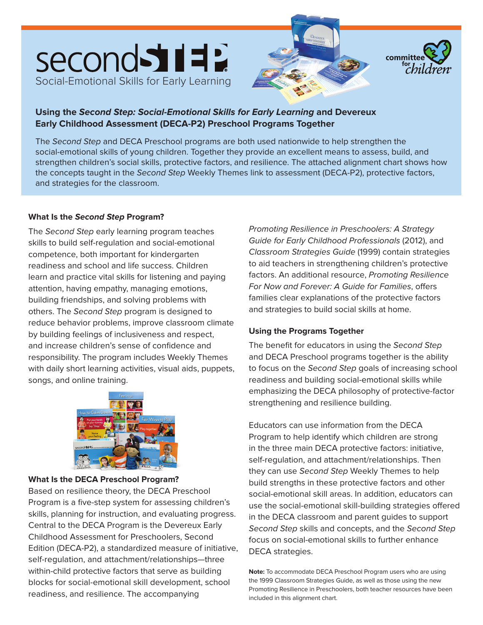



#### **Using the Second Step: Social-Emotional Skills for Early Learning and Devereux Early Childhood Assessment (DECA-P2) Preschool Programs Together**

The Second Step and DECA Preschool programs are both used nationwide to help strengthen the social-emotional skills of young children. Together they provide an excellent means to assess, build, and strengthen children's social skills, protective factors, and resilience. The attached alignment chart shows how the concepts taught in the Second Step Weekly Themes link to assessment (DECA-P2), protective factors, and strategies for the classroom.

#### **What Is the Second Step Program?**

The Second Step early learning program teaches skills to build self-regulation and social-emotional competence, both important for kindergarten readiness and school and life success. Children learn and practice vital skills for listening and paying attention, having empathy, managing emotions, building friendships, and solving problems with others. The Second Step program is designed to reduce behavior problems, improve classroom climate by building feelings of inclusiveness and respect, and increase children's sense of confidence and responsibility. The program includes Weekly Themes with daily short learning activities, visual aids, puppets, songs, and online training.



#### **What Is the DECA Preschool Program?**

Based on resilience theory, the DECA Preschool Program is a five-step system for assessing children's skills, planning for instruction, and evaluating progress. Central to the DECA Program is the Devereux Early Childhood Assessment for Preschoolers, Second Edition (DECA-P2), a standardized measure of initiative, self-regulation, and attachment/relationships—three within-child protective factors that serve as building blocks for social-emotional skill development, school readiness, and resilience. The accompanying

Promoting Resilience in Preschoolers: A Strategy Guide for Early Childhood Professionals (2012), and Classroom Strategies Guide (1999) contain strategies to aid teachers in strengthening children's protective factors. An additional resource, Promoting Resilience For Now and Forever: A Guide for Families, offers families clear explanations of the protective factors and strategies to build social skills at home.

#### **Using the Programs Together**

The benefit for educators in using the Second Step and DECA Preschool programs together is the ability to focus on the Second Step goals of increasing school readiness and building social-emotional skills while emphasizing the DECA philosophy of protective-factor strengthening and resilience building.

Educators can use information from the DECA Program to help identify which children are strong in the three main DECA protective factors: initiative, self-regulation, and attachment/relationships. Then they can use Second Step Weekly Themes to help build strengths in these protective factors and other social-emotional skill areas. In addition, educators can use the social-emotional skill-building strategies offered in the DECA classroom and parent guides to support Second Step skills and concepts, and the Second Step focus on social-emotional skills to further enhance DECA strategies.

**Note:** To accommodate DECA Preschool Program users who are using the 1999 Classroom Strategies Guide, as well as those using the new Promoting Resilience in Preschoolers, both teacher resources have been included in this alignment chart.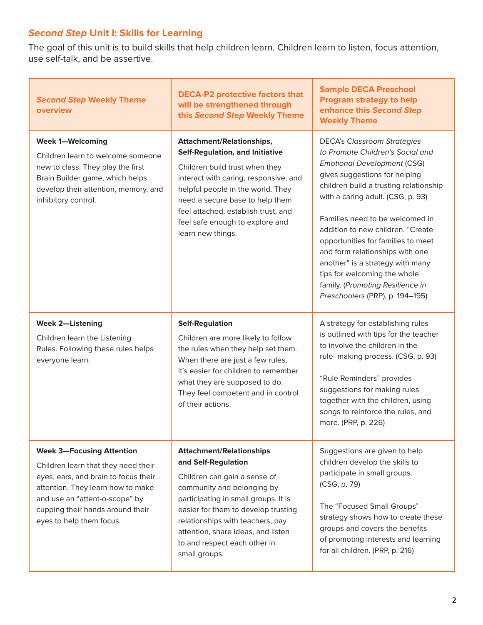# **Second Step Unit I: Skills for Learning**

The goal of this unit is to build skills that help children learn. Children learn to listen, focus attention, use self-talk, and be assertive.

| <b>Second Step Weekly Theme</b><br>overview                                                                                                                                                                                                            | <b>DECA-P2 protective factors that</b><br>will be strengthened through<br>this Second Step Weekly Theme                                                                                                                                                                                                                        | <b>Sample DECA Preschool</b><br><b>Program strategy to help</b><br>enhance this Second Step<br><b>Weekly Theme</b>                                                                                                                                                                                                                                                                                                                                                                                                       |
|--------------------------------------------------------------------------------------------------------------------------------------------------------------------------------------------------------------------------------------------------------|--------------------------------------------------------------------------------------------------------------------------------------------------------------------------------------------------------------------------------------------------------------------------------------------------------------------------------|--------------------------------------------------------------------------------------------------------------------------------------------------------------------------------------------------------------------------------------------------------------------------------------------------------------------------------------------------------------------------------------------------------------------------------------------------------------------------------------------------------------------------|
| <b>Week 1-Welcoming</b><br>Children learn to welcome someone<br>new to class. They play the first<br>Brain Builder game, which helps<br>develop their attention, memory, and<br>inhibitory control.                                                    | <b>Attachment/Relationships,</b><br><b>Self-Regulation, and Initiative</b><br>Children build trust when they<br>interact with caring, responsive, and<br>helpful people in the world. They<br>need a secure base to help them<br>feel attached, establish trust, and<br>feel safe enough to explore and<br>learn new things.   | <b>DECA's Classroom Strategies</b><br>to Promote Children's Social and<br><b>Emotional Development (CSG)</b><br>gives suggestions for helping<br>children build a trusting relationship<br>with a caring adult. (CSG, p. 93)<br>Families need to be welcomed in<br>addition to new children. "Create<br>opportunities for families to meet<br>and form relationships with one<br>another" is a strategy with many<br>tips for welcoming the whole<br>family. (Promoting Resilience in<br>Preschoolers (PRP), p. 194-195) |
| <b>Week 2-Listening</b><br>Children learn the Listening<br>Rules. Following these rules helps<br>everyone learn.                                                                                                                                       | <b>Self-Regulation</b><br>Children are more likely to follow<br>the rules when they help set them.<br>When there are just a few rules,<br>it's easier for children to remember<br>what they are supposed to do.<br>They feel competent and in control<br>of their actions.                                                     | A strategy for establishing rules<br>is outlined with tips for the teacher<br>to involve the children in the<br>rule- making process. (CSG, p. 93)<br>"Rule Reminders" provides<br>suggestions for making rules<br>together with the children, using<br>songs to reinforce the rules, and<br>more. (PRP, p. 226)                                                                                                                                                                                                         |
| <b>Week 3-Focusing Attention</b><br>Children learn that they need their<br>eyes, ears, and brain to focus their<br>attention. They learn how to make<br>and use an "attent-o-scope" by<br>cupping their hands around their<br>eyes to help them focus. | <b>Attachment/Relationships</b><br>and Self-Regulation<br>Children can gain a sense of<br>community and belonging by<br>participating in small groups. It is<br>easier for them to develop trusting<br>relationships with teachers, pay<br>attention, share ideas, and listen<br>to and respect each other in<br>small groups. | Suggestions are given to help<br>children develop the skills to<br>participate in small groups.<br>(CSG, p. 79)<br>The "Focused Small Groups"<br>strategy shows how to create these<br>groups and covers the benefits<br>of promoting interests and learning<br>for all children. (PRP, p. 216)                                                                                                                                                                                                                          |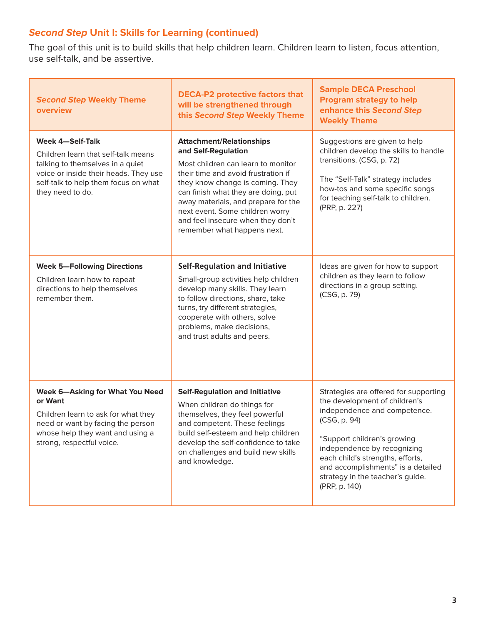# **Second Step Unit I: Skills for Learning (continued)**

The goal of this unit is to build skills that help children learn. Children learn to listen, focus attention, use self-talk, and be assertive.

| <b>Second Step Weekly Theme</b><br>overview                                                                                                                                                      | <b>DECA-P2 protective factors that</b><br>will be strengthened through<br>this Second Step Weekly Theme                                                                                                                                                                                                                                                      | <b>Sample DECA Preschool</b><br><b>Program strategy to help</b><br>enhance this Second Step<br><b>Weekly Theme</b>                                                                                                                                                                                                  |
|--------------------------------------------------------------------------------------------------------------------------------------------------------------------------------------------------|--------------------------------------------------------------------------------------------------------------------------------------------------------------------------------------------------------------------------------------------------------------------------------------------------------------------------------------------------------------|---------------------------------------------------------------------------------------------------------------------------------------------------------------------------------------------------------------------------------------------------------------------------------------------------------------------|
| Week 4-Self-Talk<br>Children learn that self-talk means<br>talking to themselves in a quiet<br>voice or inside their heads. They use<br>self-talk to help them focus on what<br>they need to do. | <b>Attachment/Relationships</b><br>and Self-Regulation<br>Most children can learn to monitor<br>their time and avoid frustration if<br>they know change is coming. They<br>can finish what they are doing, put<br>away materials, and prepare for the<br>next event. Some children worry<br>and feel insecure when they don't<br>remember what happens next. | Suggestions are given to help<br>children develop the skills to handle<br>transitions. (CSG, p. 72)<br>The "Self-Talk" strategy includes<br>how-tos and some specific songs<br>for teaching self-talk to children.<br>(PRP, p. 227)                                                                                 |
| <b>Week 5-Following Directions</b><br>Children learn how to repeat<br>directions to help themselves<br>remember them.                                                                            | <b>Self-Regulation and Initiative</b><br>Small-group activities help children<br>develop many skills. They learn<br>to follow directions, share, take<br>turns, try different strategies,<br>cooperate with others, solve<br>problems, make decisions,<br>and trust adults and peers.                                                                        | Ideas are given for how to support<br>children as they learn to follow<br>directions in a group setting.<br>(CSG, p. 79)                                                                                                                                                                                            |
| <b>Week 6-Asking for What You Need</b><br>or Want<br>Children learn to ask for what they<br>need or want by facing the person<br>whose help they want and using a<br>strong, respectful voice.   | <b>Self-Regulation and Initiative</b><br>When children do things for<br>themselves, they feel powerful<br>and competent. These feelings<br>build self-esteem and help children<br>develop the self-confidence to take<br>on challenges and build new skills<br>and knowledge.                                                                                | Strategies are offered for supporting<br>the development of children's<br>independence and competence.<br>(CSG, p. 94)<br>"Support children's growing<br>independence by recognizing<br>each child's strengths, efforts,<br>and accomplishments" is a detailed<br>strategy in the teacher's guide.<br>(PRP, p. 140) |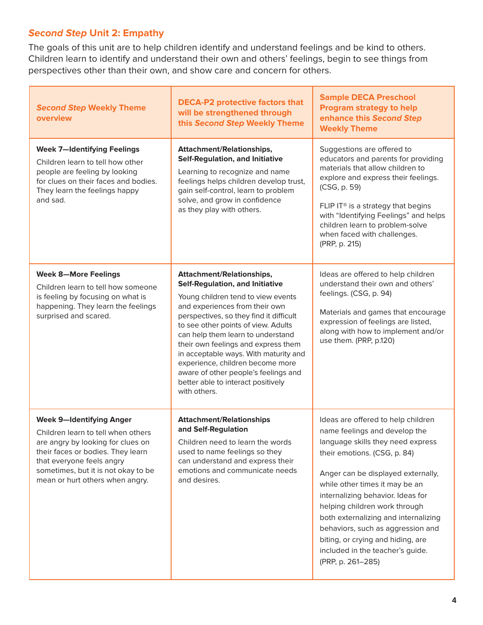# **Second Step Unit 2: Empathy**

The goals of this unit are to help children identify and understand feelings and be kind to others. Children learn to identify and understand their own and others' feelings, begin to see things from perspectives other than their own, and show care and concern for others.

| <b>Second Step Weekly Theme</b><br>overview                                                                                                                                                                                                            | <b>DECA-P2 protective factors that</b><br>will be strengthened through<br>this Second Step Weekly Theme                                                                                                                                                                                                                                                                                                                                                                                     | <b>Sample DECA Preschool</b><br><b>Program strategy to help</b><br>enhance this Second Step<br><b>Weekly Theme</b>                                                                                                                                                                                                                                                                                                                                                |
|--------------------------------------------------------------------------------------------------------------------------------------------------------------------------------------------------------------------------------------------------------|---------------------------------------------------------------------------------------------------------------------------------------------------------------------------------------------------------------------------------------------------------------------------------------------------------------------------------------------------------------------------------------------------------------------------------------------------------------------------------------------|-------------------------------------------------------------------------------------------------------------------------------------------------------------------------------------------------------------------------------------------------------------------------------------------------------------------------------------------------------------------------------------------------------------------------------------------------------------------|
| <b>Week 7-Identifying Feelings</b><br>Children learn to tell how other<br>people are feeling by looking<br>for clues on their faces and bodies.<br>They learn the feelings happy<br>and sad.                                                           | <b>Attachment/Relationships,</b><br><b>Self-Regulation, and Initiative</b><br>Learning to recognize and name<br>feelings helps children develop trust,<br>gain self-control, learn to problem<br>solve, and grow in confidence<br>as they play with others.                                                                                                                                                                                                                                 | Suggestions are offered to<br>educators and parents for providing<br>materials that allow children to<br>explore and express their feelings.<br>(CSG, p. 59)<br>FLIP IT <sup>®</sup> is a strategy that begins<br>with "Identifying Feelings" and helps<br>children learn to problem-solve<br>when faced with challenges.<br>(PRP, p. 215)                                                                                                                        |
| <b>Week 8-More Feelings</b><br>Children learn to tell how someone<br>is feeling by focusing on what is<br>happening. They learn the feelings<br>surprised and scared.                                                                                  | <b>Attachment/Relationships,</b><br><b>Self-Regulation, and Initiative</b><br>Young children tend to view events<br>and experiences from their own<br>perspectives, so they find it difficult<br>to see other points of view. Adults<br>can help them learn to understand<br>their own feelings and express them<br>in acceptable ways. With maturity and<br>experience, children become more<br>aware of other people's feelings and<br>better able to interact positively<br>with others. | Ideas are offered to help children<br>understand their own and others'<br>feelings. (CSG, p. 94)<br>Materials and games that encourage<br>expression of feelings are listed,<br>along with how to implement and/or<br>use them. (PRP, p.120)                                                                                                                                                                                                                      |
| <b>Week 9-Identifying Anger</b><br>Children learn to tell when others<br>are angry by looking for clues on<br>their faces or bodies. They learn<br>that everyone feels angry<br>sometimes, but it is not okay to be<br>mean or hurt others when angry. | <b>Attachment/Relationships</b><br>and Self-Regulation<br>Children need to learn the words<br>used to name feelings so they<br>can understand and express their<br>emotions and communicate needs<br>and desires.                                                                                                                                                                                                                                                                           | Ideas are offered to help children<br>name feelings and develop the<br>language skills they need express<br>their emotions. (CSG, p. 84)<br>Anger can be displayed externally,<br>while other times it may be an<br>internalizing behavior. Ideas for<br>helping children work through<br>both externalizing and internalizing<br>behaviors, such as aggression and<br>biting, or crying and hiding, are<br>included in the teacher's guide.<br>(PRP, p. 261-285) |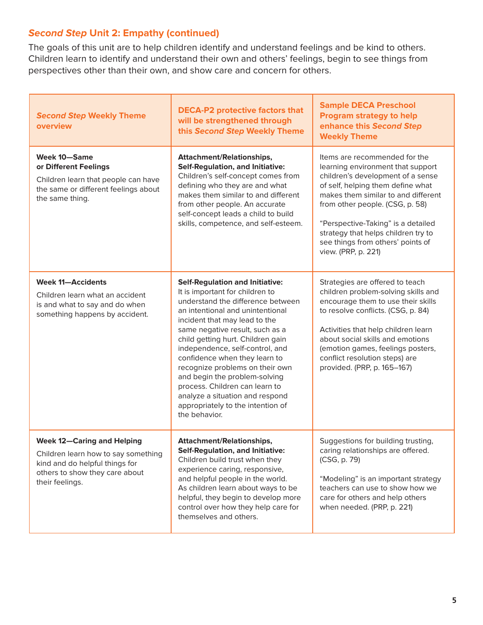# **Second Step Unit 2: Empathy (continued)**

The goals of this unit are to help children identify and understand feelings and be kind to others. Children learn to identify and understand their own and others' feelings, begin to see things from perspectives other than their own, and show care and concern for others.

| <b>Second Step Weekly Theme</b><br>overview                                                                                                                     | <b>DECA-P2 protective factors that</b><br>will be strengthened through<br>this Second Step Weekly Theme                                                                                                                                                                                                                                                                                                                                                                                                                        | <b>Sample DECA Preschool</b><br><b>Program strategy to help</b><br>enhance this Second Step<br><b>Weekly Theme</b>                                                                                                                                                                                                                                              |
|-----------------------------------------------------------------------------------------------------------------------------------------------------------------|--------------------------------------------------------------------------------------------------------------------------------------------------------------------------------------------------------------------------------------------------------------------------------------------------------------------------------------------------------------------------------------------------------------------------------------------------------------------------------------------------------------------------------|-----------------------------------------------------------------------------------------------------------------------------------------------------------------------------------------------------------------------------------------------------------------------------------------------------------------------------------------------------------------|
| <b>Week 10-Same</b><br>or Different Feelings<br>Children learn that people can have<br>the same or different feelings about<br>the same thing.                  | <b>Attachment/Relationships,</b><br><b>Self-Regulation, and Initiative:</b><br>Children's self-concept comes from<br>defining who they are and what<br>makes them similar to and different<br>from other people. An accurate<br>self-concept leads a child to build<br>skills, competence, and self-esteem.                                                                                                                                                                                                                    | Items are recommended for the<br>learning environment that support<br>children's development of a sense<br>of self, helping them define what<br>makes them similar to and different<br>from other people. (CSG, p. 58)<br>"Perspective-Taking" is a detailed<br>strategy that helps children try to<br>see things from others' points of<br>view. (PRP, p. 221) |
| <b>Week 11-Accidents</b><br>Children learn what an accident<br>is and what to say and do when<br>something happens by accident.                                 | <b>Self-Regulation and Initiative:</b><br>It is important for children to<br>understand the difference between<br>an intentional and unintentional<br>incident that may lead to the<br>same negative result, such as a<br>child getting hurt. Children gain<br>independence, self-control, and<br>confidence when they learn to<br>recognize problems on their own<br>and begin the problem-solving<br>process. Children can learn to<br>analyze a situation and respond<br>appropriately to the intention of<br>the behavior. | Strategies are offered to teach<br>children problem-solving skills and<br>encourage them to use their skills<br>to resolve conflicts. (CSG, p. 84)<br>Activities that help children learn<br>about social skills and emotions<br>(emotion games, feelings posters,<br>conflict resolution steps) are<br>provided. (PRP, p. 165-167)                             |
| <b>Week 12-Caring and Helping</b><br>Children learn how to say something<br>kind and do helpful things for<br>others to show they care about<br>their feelings. | <b>Attachment/Relationships,</b><br><b>Self-Regulation, and Initiative:</b><br>Children build trust when they<br>experience caring, responsive,<br>and helpful people in the world.<br>As children learn about ways to be<br>helpful, they begin to develop more<br>control over how they help care for<br>themselves and others.                                                                                                                                                                                              | Suggestions for building trusting,<br>caring relationships are offered.<br>(CSG, p. 79)<br>"Modeling" is an important strategy<br>teachers can use to show how we<br>care for others and help others<br>when needed. (PRP, p. 221)                                                                                                                              |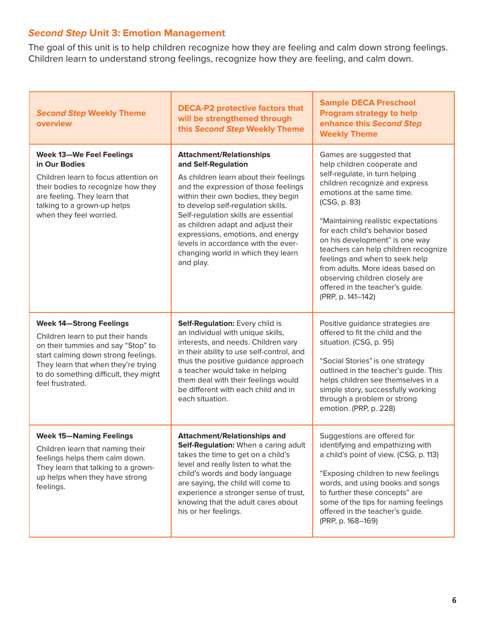# **Second Step Unit 3: Emotion Management**

The goal of this unit is to help children recognize how they are feeling and calm down strong feelings. Children learn to understand strong feelings, recognize how they are feeling, and calm down.

| <b>Second Step Weekly Theme</b><br>overview                                                                                                                                                                                                          | <b>DECA-P2 protective factors that</b><br>will be strengthened through<br>this Second Step Weekly Theme                                                                                                                                                                                                                                                                                                                            | <b>Sample DECA Preschool</b><br><b>Program strategy to help</b><br>enhance this Second Step<br><b>Weekly Theme</b>                                                                                                                                                                                                                                                                                                                                                                            |
|------------------------------------------------------------------------------------------------------------------------------------------------------------------------------------------------------------------------------------------------------|------------------------------------------------------------------------------------------------------------------------------------------------------------------------------------------------------------------------------------------------------------------------------------------------------------------------------------------------------------------------------------------------------------------------------------|-----------------------------------------------------------------------------------------------------------------------------------------------------------------------------------------------------------------------------------------------------------------------------------------------------------------------------------------------------------------------------------------------------------------------------------------------------------------------------------------------|
| <b>Week 13-We Feel Feelings</b><br>in Our Bodies<br>Children learn to focus attention on<br>their bodies to recognize how they<br>are feeling. They learn that<br>talking to a grown-up helps<br>when they feel worried.                             | <b>Attachment/Relationships</b><br>and Self-Regulation<br>As children learn about their feelings<br>and the expression of those feelings<br>within their own bodies, they begin<br>to develop self-regulation skills.<br>Self-regulation skills are essential<br>as children adapt and adjust their<br>expressions, emotions, and energy<br>levels in accordance with the ever-<br>changing world in which they learn<br>and play. | Games are suggested that<br>help children cooperate and<br>self-regulate, in turn helping<br>children recognize and express<br>emotions at the same time.<br>(CSG, p. 83)<br>"Maintaining realistic expectations<br>for each child's behavior based<br>on his development" is one way<br>teachers can help children recognize<br>feelings and when to seek help<br>from adults. More ideas based on<br>observing children closely are<br>offered in the teacher's guide.<br>(PRP, p. 141-142) |
| <b>Week 14-Strong Feelings</b><br>Children learn to put their hands<br>on their tummies and say "Stop" to<br>start calming down strong feelings.<br>They learn that when they're trying<br>to do something difficult, they might<br>feel frustrated. | Self-Regulation: Every child is<br>an individual with unique skills,<br>interests, and needs. Children vary<br>in their ability to use self-control, and<br>thus the positive guidance approach<br>a teacher would take in helping<br>them deal with their feelings would<br>be different with each child and in<br>each situation.                                                                                                | Positive guidance strategies are<br>offered to fit the child and the<br>situation. (CSG, p. 95)<br>"Social Stories" is one strategy<br>outlined in the teacher's guide. This<br>helps children see themselves in a<br>simple story, successfully working<br>through a problem or strong<br>emotion. (PRP, p. 228)                                                                                                                                                                             |
| <b>Week 15-Naming Feelings</b><br>Children learn that naming their<br>feelings helps them calm down.<br>They learn that talking to a grown-<br>up helps when they have strong<br>feelings.                                                           | <b>Attachment/Relationships and</b><br>Self-Regulation: When a caring adult<br>takes the time to get on a child's<br>level and really listen to what the<br>child's words and body language<br>are saying, the child will come to<br>experience a stronger sense of trust,<br>knowing that the adult cares about<br>his or her feelings.                                                                                           | Suggestions are offered for<br>identifying and empathizing with<br>a child's point of view. (CSG, p. 113)<br>"Exposing children to new feelings<br>words, and using books and songs<br>to further these concepts" are<br>some of the tips for naming feelings<br>offered in the teacher's guide.<br>(PRP, p. 168-169)                                                                                                                                                                         |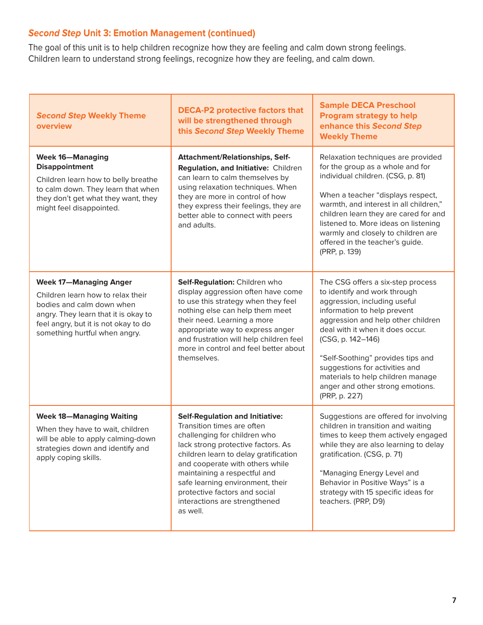# **Second Step Unit 3: Emotion Management (continued)**

The goal of this unit is to help children recognize how they are feeling and calm down strong feelings. Children learn to understand strong feelings, recognize how they are feeling, and calm down.

| <b>Second Step Weekly Theme</b><br>overview                                                                                                                                                                      | <b>DECA-P2 protective factors that</b><br>will be strengthened through<br>this Second Step Weekly Theme                                                                                                                                                                                                                                                                  | <b>Sample DECA Preschool</b><br><b>Program strategy to help</b><br>enhance this Second Step<br><b>Weekly Theme</b>                                                                                                                                                                                                                                                                               |
|------------------------------------------------------------------------------------------------------------------------------------------------------------------------------------------------------------------|--------------------------------------------------------------------------------------------------------------------------------------------------------------------------------------------------------------------------------------------------------------------------------------------------------------------------------------------------------------------------|--------------------------------------------------------------------------------------------------------------------------------------------------------------------------------------------------------------------------------------------------------------------------------------------------------------------------------------------------------------------------------------------------|
| <b>Week 16-Managing</b><br><b>Disappointment</b><br>Children learn how to belly breathe<br>to calm down. They learn that when<br>they don't get what they want, they<br>might feel disappointed.                 | <b>Attachment/Relationships, Self-</b><br>Regulation, and Initiative: Children<br>can learn to calm themselves by<br>using relaxation techniques. When<br>they are more in control of how<br>they express their feelings, they are<br>better able to connect with peers<br>and adults.                                                                                   | Relaxation techniques are provided<br>for the group as a whole and for<br>individual children. (CSG, p. 81)<br>When a teacher "displays respect,<br>warmth, and interest in all children,"<br>children learn they are cared for and<br>listened to. More ideas on listening<br>warmly and closely to children are<br>offered in the teacher's guide.<br>(PRP, p. 139)                            |
| <b>Week 17-Managing Anger</b><br>Children learn how to relax their<br>bodies and calm down when<br>angry. They learn that it is okay to<br>feel angry, but it is not okay to do<br>something hurtful when angry. | Self-Regulation: Children who<br>display aggression often have come<br>to use this strategy when they feel<br>nothing else can help them meet<br>their need. Learning a more<br>appropriate way to express anger<br>and frustration will help children feel<br>more in control and feel better about<br>themselves.                                                      | The CSG offers a six-step process<br>to identify and work through<br>aggression, including useful<br>information to help prevent<br>aggression and help other children<br>deal with it when it does occur.<br>(CSG, p. 142-146)<br>"Self-Soothing" provides tips and<br>suggestions for activities and<br>materials to help children manage<br>anger and other strong emotions.<br>(PRP, p. 227) |
| <b>Week 18-Managing Waiting</b><br>When they have to wait, children<br>will be able to apply calming-down<br>strategies down and identify and<br>apply coping skills.                                            | <b>Self-Regulation and Initiative:</b><br>Transition times are often<br>challenging for children who<br>lack strong protective factors. As<br>children learn to delay gratification<br>and cooperate with others while<br>maintaining a respectful and<br>safe learning environment, their<br>protective factors and social<br>interactions are strengthened<br>as well. | Suggestions are offered for involving<br>children in transition and waiting<br>times to keep them actively engaged<br>while they are also learning to delay<br>gratification. (CSG, p. 71)<br>"Managing Energy Level and<br>Behavior in Positive Ways" is a<br>strategy with 15 specific ideas for<br>teachers. (PRP, D9)                                                                        |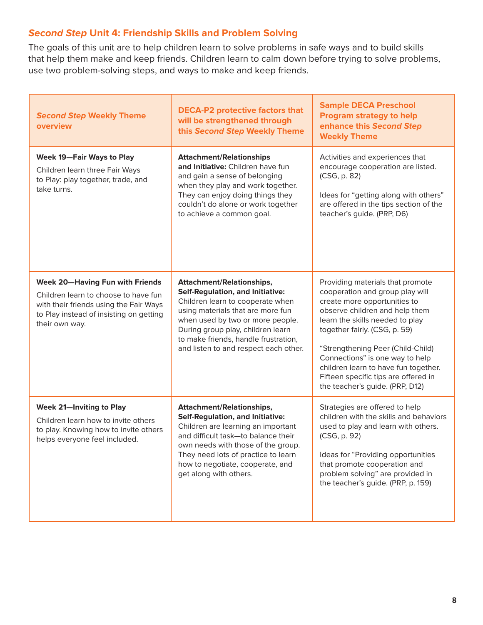## **Second Step Unit 4: Friendship Skills and Problem Solving**

The goals of this unit are to help children learn to solve problems in safe ways and to build skills that help them make and keep friends. Children learn to calm down before trying to solve problems, use two problem-solving steps, and ways to make and keep friends.

| <b>Second Step Weekly Theme</b><br>overview                                                                                                                                           | <b>DECA-P2 protective factors that</b><br>will be strengthened through<br>this Second Step Weekly Theme                                                                                                                                                                                                        | <b>Sample DECA Preschool</b><br><b>Program strategy to help</b><br>enhance this Second Step<br><b>Weekly Theme</b>                                                                                                                                                                                                                                                                                   |
|---------------------------------------------------------------------------------------------------------------------------------------------------------------------------------------|----------------------------------------------------------------------------------------------------------------------------------------------------------------------------------------------------------------------------------------------------------------------------------------------------------------|------------------------------------------------------------------------------------------------------------------------------------------------------------------------------------------------------------------------------------------------------------------------------------------------------------------------------------------------------------------------------------------------------|
| <b>Week 19-Fair Ways to Play</b><br>Children learn three Fair Ways<br>to Play: play together, trade, and<br>take turns.                                                               | <b>Attachment/Relationships</b><br>and Initiative: Children have fun<br>and gain a sense of belonging<br>when they play and work together.<br>They can enjoy doing things they<br>couldn't do alone or work together<br>to achieve a common goal.                                                              | Activities and experiences that<br>encourage cooperation are listed.<br>(CSG, p. 82)<br>Ideas for "getting along with others"<br>are offered in the tips section of the<br>teacher's guide. (PRP, D6)                                                                                                                                                                                                |
| <b>Week 20-Having Fun with Friends</b><br>Children learn to choose to have fun<br>with their friends using the Fair Ways<br>to Play instead of insisting on getting<br>their own way. | <b>Attachment/Relationships,</b><br><b>Self-Regulation, and Initiative:</b><br>Children learn to cooperate when<br>using materials that are more fun<br>when used by two or more people.<br>During group play, children learn<br>to make friends, handle frustration,<br>and listen to and respect each other. | Providing materials that promote<br>cooperation and group play will<br>create more opportunities to<br>observe children and help them<br>learn the skills needed to play<br>together fairly. (CSG, p. 59)<br>"Strengthening Peer (Child-Child)<br>Connections" is one way to help<br>children learn to have fun together.<br>Fifteen specific tips are offered in<br>the teacher's guide. (PRP, D12) |
| <b>Week 21-Inviting to Play</b><br>Children learn how to invite others<br>to play. Knowing how to invite others<br>helps everyone feel included.                                      | <b>Attachment/Relationships,</b><br><b>Self-Regulation, and Initiative:</b><br>Children are learning an important<br>and difficult task-to balance their<br>own needs with those of the group.<br>They need lots of practice to learn<br>how to negotiate, cooperate, and<br>get along with others.            | Strategies are offered to help<br>children with the skills and behaviors<br>used to play and learn with others.<br>(CSG, p. 92)<br>Ideas for "Providing opportunities<br>that promote cooperation and<br>problem solving" are provided in<br>the teacher's guide. (PRP, p. 159)                                                                                                                      |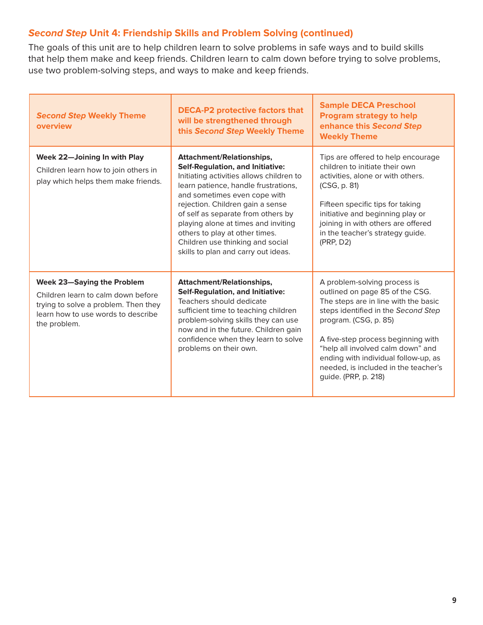## **Second Step Unit 4: Friendship Skills and Problem Solving (continued)**

The goals of this unit are to help children learn to solve problems in safe ways and to build skills that help them make and keep friends. Children learn to calm down before trying to solve problems, use two problem-solving steps, and ways to make and keep friends.

| <b>Second Step Weekly Theme</b><br>overview                                                                                                                           | <b>DECA-P2 protective factors that</b><br>will be strengthened through<br>this Second Step Weekly Theme                                                                                                                                                                                                                                                                                                                       | <b>Sample DECA Preschool</b><br><b>Program strategy to help</b><br>enhance this Second Step<br><b>Weekly Theme</b>                                                                                                                                                                                                                                         |
|-----------------------------------------------------------------------------------------------------------------------------------------------------------------------|-------------------------------------------------------------------------------------------------------------------------------------------------------------------------------------------------------------------------------------------------------------------------------------------------------------------------------------------------------------------------------------------------------------------------------|------------------------------------------------------------------------------------------------------------------------------------------------------------------------------------------------------------------------------------------------------------------------------------------------------------------------------------------------------------|
| Week 22-Joining In with Play<br>Children learn how to join others in<br>play which helps them make friends.                                                           | <b>Attachment/Relationships,</b><br><b>Self-Regulation, and Initiative:</b><br>Initiating activities allows children to<br>learn patience, handle frustrations,<br>and sometimes even cope with<br>rejection. Children gain a sense<br>of self as separate from others by<br>playing alone at times and inviting<br>others to play at other times.<br>Children use thinking and social<br>skills to plan and carry out ideas. | Tips are offered to help encourage<br>children to initiate their own<br>activities, alone or with others.<br>(CSG, p. 81)<br>Fifteen specific tips for taking<br>initiative and beginning play or<br>joining in with others are offered<br>in the teacher's strategy guide.<br>(PRP, D2)                                                                   |
| <b>Week 23-Saying the Problem</b><br>Children learn to calm down before<br>trying to solve a problem. Then they<br>learn how to use words to describe<br>the problem. | <b>Attachment/Relationships,</b><br><b>Self-Regulation, and Initiative:</b><br>Teachers should dedicate<br>sufficient time to teaching children<br>problem-solving skills they can use<br>now and in the future. Children gain<br>confidence when they learn to solve<br>problems on their own.                                                                                                                               | A problem-solving process is<br>outlined on page 85 of the CSG.<br>The steps are in line with the basic<br>steps identified in the Second Step<br>program. (CSG, p. 85)<br>A five-step process beginning with<br>"help all involved calm down" and<br>ending with individual follow-up, as<br>needed, is included in the teacher's<br>guide. (PRP, p. 218) |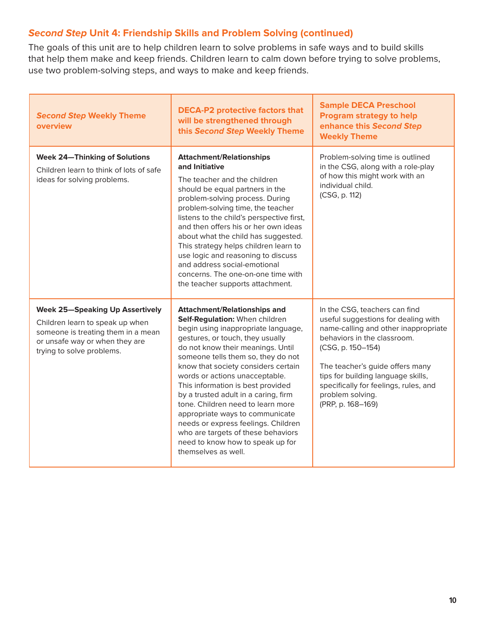## **Second Step Unit 4: Friendship Skills and Problem Solving (continued)**

The goals of this unit are to help children learn to solve problems in safe ways and to build skills that help them make and keep friends. Children learn to calm down before trying to solve problems, use two problem-solving steps, and ways to make and keep friends.

| <b>Second Step Weekly Theme</b><br>overview                                                                                                                                    | <b>DECA-P2 protective factors that</b><br>will be strengthened through<br>this Second Step Weekly Theme                                                                                                                                                                                                                                                                                                                                                                                                                                                                                           | <b>Sample DECA Preschool</b><br><b>Program strategy to help</b><br>enhance this Second Step<br><b>Weekly Theme</b>                                                                                                                                                                                                          |
|--------------------------------------------------------------------------------------------------------------------------------------------------------------------------------|---------------------------------------------------------------------------------------------------------------------------------------------------------------------------------------------------------------------------------------------------------------------------------------------------------------------------------------------------------------------------------------------------------------------------------------------------------------------------------------------------------------------------------------------------------------------------------------------------|-----------------------------------------------------------------------------------------------------------------------------------------------------------------------------------------------------------------------------------------------------------------------------------------------------------------------------|
| <b>Week 24-Thinking of Solutions</b><br>Children learn to think of lots of safe<br>ideas for solving problems.                                                                 | <b>Attachment/Relationships</b><br>and Initiative<br>The teacher and the children<br>should be equal partners in the<br>problem-solving process. During<br>problem-solving time, the teacher<br>listens to the child's perspective first,<br>and then offers his or her own ideas<br>about what the child has suggested.<br>This strategy helps children learn to<br>use logic and reasoning to discuss<br>and address social-emotional<br>concerns. The one-on-one time with<br>the teacher supports attachment.                                                                                 | Problem-solving time is outlined<br>in the CSG, along with a role-play<br>of how this might work with an<br>individual child.<br>(CSG, p. 112)                                                                                                                                                                              |
| <b>Week 25-Speaking Up Assertively</b><br>Children learn to speak up when<br>someone is treating them in a mean<br>or unsafe way or when they are<br>trying to solve problems. | <b>Attachment/Relationships and</b><br>Self-Regulation: When children<br>begin using inappropriate language,<br>gestures, or touch, they usually<br>do not know their meanings. Until<br>someone tells them so, they do not<br>know that society considers certain<br>words or actions unacceptable.<br>This information is best provided<br>by a trusted adult in a caring, firm<br>tone. Children need to learn more<br>appropriate ways to communicate<br>needs or express feelings. Children<br>who are targets of these behaviors<br>need to know how to speak up for<br>themselves as well. | In the CSG, teachers can find<br>useful suggestions for dealing with<br>name-calling and other inappropriate<br>behaviors in the classroom.<br>(CSG, p. 150-154)<br>The teacher's guide offers many<br>tips for building language skills,<br>specifically for feelings, rules, and<br>problem solving.<br>(PRP, p. 168-169) |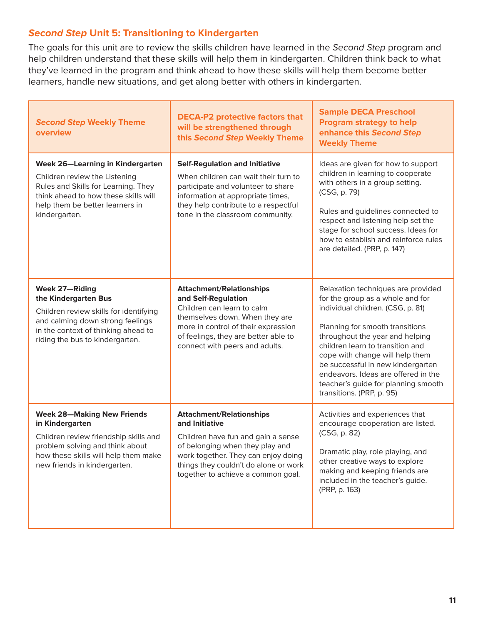### **Second Step Unit 5: Transitioning to Kindergarten**

The goals for this unit are to review the skills children have learned in the Second Step program and help children understand that these skills will help them in kindergarten. Children think back to what they've learned in the program and think ahead to how these skills will help them become better learners, handle new situations, and get along better with others in kindergarten.

| <b>Second Step Weekly Theme</b><br>overview                                                                                                                                                                 | <b>DECA-P2 protective factors that</b><br>will be strengthened through<br>this Second Step Weekly Theme                                                                                                                                          | <b>Sample DECA Preschool</b><br><b>Program strategy to help</b><br>enhance this Second Step<br><b>Weekly Theme</b>                                                                                                                                                                                                                                                                                       |
|-------------------------------------------------------------------------------------------------------------------------------------------------------------------------------------------------------------|--------------------------------------------------------------------------------------------------------------------------------------------------------------------------------------------------------------------------------------------------|----------------------------------------------------------------------------------------------------------------------------------------------------------------------------------------------------------------------------------------------------------------------------------------------------------------------------------------------------------------------------------------------------------|
| <b>Week 26-Learning in Kindergarten</b><br>Children review the Listening<br>Rules and Skills for Learning. They<br>think ahead to how these skills will<br>help them be better learners in<br>kindergarten. | <b>Self-Regulation and Initiative</b><br>When children can wait their turn to<br>participate and volunteer to share<br>information at appropriate times,<br>they help contribute to a respectful<br>tone in the classroom community.             | Ideas are given for how to support<br>children in learning to cooperate<br>with others in a group setting.<br>(CSG, p. 79)<br>Rules and guidelines connected to<br>respect and listening help set the<br>stage for school success. Ideas for<br>how to establish and reinforce rules<br>are detailed. (PRP, p. 147)                                                                                      |
| <b>Week 27-Riding</b><br>the Kindergarten Bus<br>Children review skills for identifying<br>and calming down strong feelings<br>in the context of thinking ahead to<br>riding the bus to kindergarten.       | <b>Attachment/Relationships</b><br>and Self-Regulation<br>Children can learn to calm<br>themselves down. When they are<br>more in control of their expression<br>of feelings, they are better able to<br>connect with peers and adults.          | Relaxation techniques are provided<br>for the group as a whole and for<br>individual children. (CSG, p. 81)<br>Planning for smooth transitions<br>throughout the year and helping<br>children learn to transition and<br>cope with change will help them<br>be successful in new kindergarten<br>endeavors. Ideas are offered in the<br>teacher's guide for planning smooth<br>transitions. (PRP, p. 95) |
| <b>Week 28-Making New Friends</b><br>in Kindergarten<br>Children review friendship skills and<br>problem solving and think about<br>how these skills will help them make<br>new friends in kindergarten.    | <b>Attachment/Relationships</b><br>and Initiative<br>Children have fun and gain a sense<br>of belonging when they play and<br>work together. They can enjoy doing<br>things they couldn't do alone or work<br>together to achieve a common goal. | Activities and experiences that<br>encourage cooperation are listed.<br>(CSG, p. 82)<br>Dramatic play, role playing, and<br>other creative ways to explore<br>making and keeping friends are<br>included in the teacher's guide.<br>(PRP, p. 163)                                                                                                                                                        |